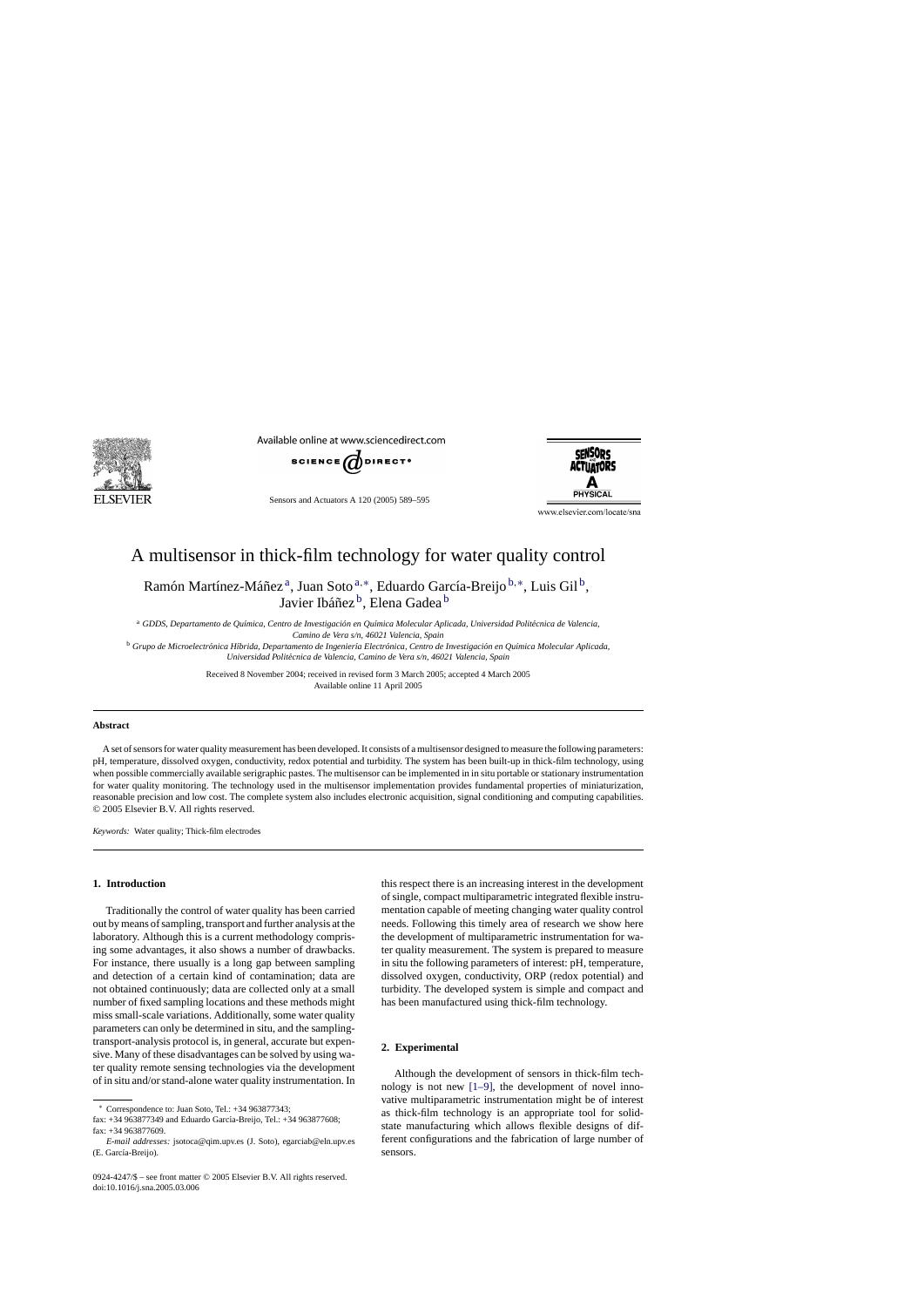

Available online at www.sciencedirect.com



Sensors and Actuators A 120 (2005) 589–595



www.elsevier.com/locate/sna

# A multisensor in thick-film technology for water quality control

Ramón Martínez-Máñez<sup>a</sup>, Juan Soto<sup>a,∗</sup>, Eduardo García-Breijo<sup>b,∗</sup>, Luis Gil<sup>b</sup>, Javier Ibáñez<sup>b</sup>, Elena Gadea<sup>b</sup>

<sup>a</sup> GDDS, Departamento de Química, Centro de Investigación en Química Molecular Aplicada, Universidad Politécnica de Valencia,

*Camino de Vera s/n, 46021 Valencia, Spain*

<sup>b</sup> Grupo de Microelectrónica Híbrida, Departamento de Ingeniería Electrónica, Centro de Investigación en Química Molecular Aplicada, *Universidad Polit´ecnica de Valencia, Camino de Vera s/n, 46021 Valencia, Spain*

> Received 8 November 2004; received in revised form 3 March 2005; accepted 4 March 2005 Available online 11 April 2005

#### **Abstract**

A set of sensors for water quality measurement has been developed. It consists of a multisensor designed to measure the following parameters: pH, temperature, dissolved oxygen, conductivity, redox potential and turbidity. The system has been built-up in thick-film technology, using when possible commercially available serigraphic pastes. The multisensor can be implemented in in situ portable or stationary instrumentation for water quality monitoring. The technology used in the multisensor implementation provides fundamental properties of miniaturization, reasonable precision and low cost. The complete system also includes electronic acquisition, signal conditioning and computing capabilities. © 2005 Elsevier B.V. All rights reserved.

*Keywords:* Water quality; Thick-film electrodes

## **1. Introduction**

Traditionally the control of water quality has been carried out by means of sampling, transport and further analysis at the laboratory. Although this is a current methodology comprising some advantages, it also shows a number of drawbacks. For instance, there usually is a long gap between sampling and detection of a certain kind of contamination; data are not obtained continuously; data are collected only at a small number of fixed sampling locations and these methods might miss small-scale variations. Additionally, some water quality parameters can only be determined in situ, and the samplingtransport-analysis protocol is, in general, accurate but expensive. Many of these disadvantages can be solved by using water quality remote sensing technologies via the development of in situ and/or stand-alone water quality instrumentation. In

∗ Correspondence to: Juan Soto, Tel.: +34 963877343;

this respect there is an increasing interest in the development of single, compact multiparametric integrated flexible instrumentation capable of meeting changing water quality control needs. Following this timely area of research we show here the development of multiparametric instrumentation for water quality measurement. The system is prepared to measure in situ the following parameters of interest: pH, temperature, dissolved oxygen, conductivity, ORP (redox potential) and turbidity. The developed system is simple and compact and has been manufactured using thick-film technology.

#### **2. Experimental**

Although the development of sensors in thick-film technology is not new [\[1–9\],](#page--1-0) the development of novel innovative multiparametric instrumentation might be of interest as thick-film technology is an appropriate tool for solidstate manufacturing which allows flexible designs of different configurations and the fabrication of large number of sensors.

fax: +34 963877349 and Eduardo García-Breijo, Tel.: +34 963877608;  $fax: +34963877609$ .

*E-mail addresses:* jsotoca@qim.upv.es (J. Soto), egarciab@eln.upv.es (E. García-Breijo).

<sup>0924-4247/\$ –</sup> see front matter © 2005 Elsevier B.V. All rights reserved. doi:10.1016/j.sna.2005.03.006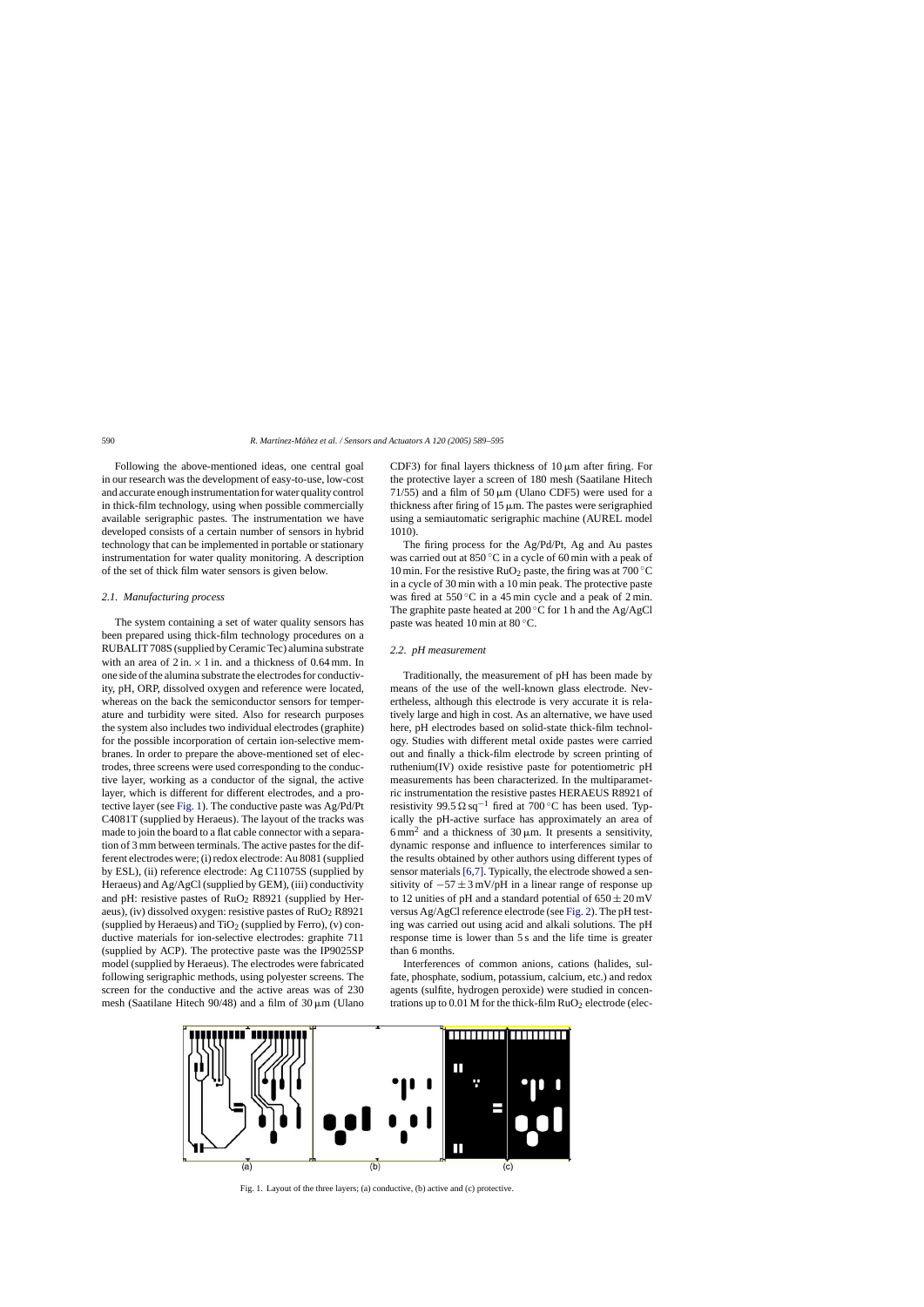Following the above-mentioned ideas, one central goal in our research was the development of easy-to-use, low-cost and accurate enough instrumentation for water quality control in thick-film technology, using when possible commercially available serigraphic pastes. The instrumentation we have developed consists of a certain number of sensors in hybrid technology that can be implemented in portable or stationary instrumentation for water quality monitoring. A description of the set of thick film water sensors is given below.

#### *2.1. Manufacturing process*

The system containing a set of water quality sensors has been prepared using thick-film technology procedures on a RUBALIT 708S (supplied by Ceramic Tec) alumina substrate with an area of  $2 \text{ in.} \times 1 \text{ in.}$  and a thickness of 0.64 mm. In one side of the alumina substrate the electrodes for conductivity, pH, ORP, dissolved oxygen and reference were located, whereas on the back the semiconductor sensors for temperature and turbidity were sited. Also for research purposes the system also includes two individual electrodes (graphite) for the possible incorporation of certain ion-selective membranes. In order to prepare the above-mentioned set of electrodes, three screens were used corresponding to the conductive layer, working as a conductor of the signal, the active layer, which is different for different electrodes, and a protective layer (see Fig. 1). The conductive paste was Ag/Pd/Pt C4081T (supplied by Heraeus). The layout of the tracks was made to join the board to a flat cable connector with a separation of 3 mm between terminals. The active pastes for the different electrodes were; (i) redox electrode: Au 8081 (supplied by ESL), (ii) reference electrode: Ag C11075S (supplied by Heraeus) and Ag/AgCl (supplied by GEM), (iii) conductivity and pH: resistive pastes of  $RuO<sub>2</sub>$  R8921 (supplied by Heraeus), (iv) dissolved oxygen: resistive pastes of  $RuO<sub>2</sub> R8921$ (supplied by Heraeus) and  $TiO<sub>2</sub>$  (supplied by Ferro), (v) conductive materials for ion-selective electrodes: graphite 711 (supplied by ACP). The protective paste was the IP9025SP model (supplied by Heraeus). The electrodes were fabricated following serigraphic methods, using polyester screens. The screen for the conductive and the active areas was of 230 mesh (Saatilane Hitech 90/48) and a film of  $30 \mu m$  (Ulano CDF3) for final layers thickness of  $10 \mu m$  after firing. For the protective layer a screen of 180 mesh (Saatilane Hitech 71/55) and a film of 50  $\mu$ m (Ulano CDF5) were used for a thickness after firing of  $15 \mu m$ . The pastes were serigraphied using a semiautomatic serigraphic machine (AUREL model 1010).

The firing process for the Ag/Pd/Pt, Ag and Au pastes was carried out at 850 ◦C in a cycle of 60 min with a peak of 10 min. For the resistive  $RuO<sub>2</sub>$  paste, the firing was at 700 °C in a cycle of 30 min with a 10 min peak. The protective paste was fired at  $550^{\circ}$ C in a 45 min cycle and a peak of 2 min. The graphite paste heated at  $200\degree$ C for 1 h and the Ag/AgCl paste was heated 10 min at 80 ◦C.

### *2.2. pH measurement*

Traditionally, the measurement of pH has been made by means of the use of the well-known glass electrode. Nevertheless, although this electrode is very accurate it is relatively large and high in cost. As an alternative, we have used here, pH electrodes based on solid-state thick-film technology. Studies with different metal oxide pastes were carried out and finally a thick-film electrode by screen printing of ruthenium(IV) oxide resistive paste for potentiometric pH measurements has been characterized. In the multiparametric instrumentation the resistive pastes HERAEUS R8921 of resistivity 99.5  $\Omega$  sq<sup>-1</sup> fired at 700 °C has been used. Typically the pH-active surface has approximately an area of 6 mm<sup>2</sup> and a thickness of 30  $\mu$ m. It presents a sensitivity, dynamic response and influence to interferences similar to the results obtained by other authors using different types of sensor materials [\[6,7\]. T](#page--1-0)ypically, the electrode showed a sensitivity of  $-57 \pm 3$  mV/pH in a linear range of response up to 12 unities of pH and a standard potential of  $650 \pm 20$  mV versus Ag/AgCl reference electrode (see [Fig. 2\).](#page--1-0) The pH testing was carried out using acid and alkali solutions. The pH response time is lower than 5 s and the life time is greater than 6 months.

Interferences of common anions, cations (halides, sulfate, phosphate, sodium, potassium, calcium, etc.) and redox agents (sulfite, hydrogen peroxide) were studied in concentrations up to  $0.01$  M for the thick-film  $RuO<sub>2</sub>$  electrode (elec-



Fig. 1. Layout of the three layers; (a) conductive, (b) active and (c) protective.